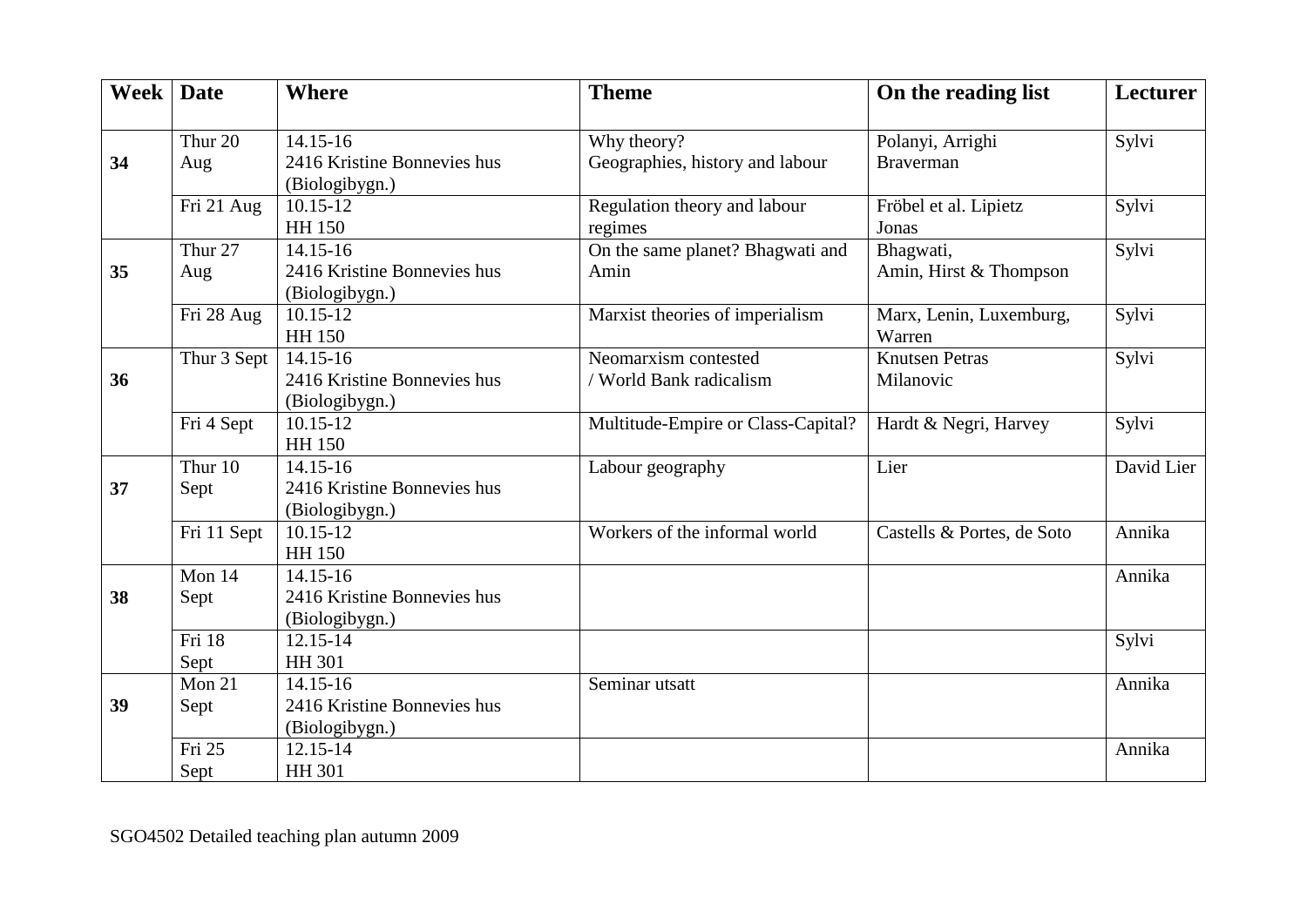| Week | <b>Date</b>        | <b>Where</b>                | <b>Theme</b>                       | On the reading list        | Lecturer   |
|------|--------------------|-----------------------------|------------------------------------|----------------------------|------------|
|      |                    |                             |                                    |                            |            |
|      | Thur 20            | 14.15-16                    | Why theory?                        | Polanyi, Arrighi           | Sylvi      |
| 34   | Aug                | 2416 Kristine Bonnevies hus | Geographies, history and labour    | <b>Braverman</b>           |            |
|      |                    | (Biologibygn.)              |                                    |                            |            |
|      | Fri 21 Aug         | $10.15 - 12$                | Regulation theory and labour       | Fröbel et al. Lipietz      | Sylvi      |
|      |                    | <b>HH 150</b>               | regimes                            | Jonas                      |            |
|      | Thur <sub>27</sub> | 14.15-16                    | On the same planet? Bhagwati and   | Bhagwati,                  | Sylvi      |
| 35   | Aug                | 2416 Kristine Bonnevies hus | Amin                               | Amin, Hirst & Thompson     |            |
|      |                    | (Biologibygn.)              |                                    |                            |            |
|      | Fri 28 Aug         | $10.15 - 12$                | Marxist theories of imperialism    | Marx, Lenin, Luxemburg,    | Sylvi      |
|      |                    | HH 150                      |                                    | Warren                     |            |
|      | Thur 3 Sept        | $14.15 - 16$                | Neomarxism contested               | <b>Knutsen Petras</b>      | Sylvi      |
| 36   |                    | 2416 Kristine Bonnevies hus | / World Bank radicalism            | Milanovic                  |            |
|      |                    | (Biologibygn.)              |                                    |                            |            |
|      | Fri 4 Sept         | $10.15 - 12$                | Multitude-Empire or Class-Capital? | Hardt & Negri, Harvey      | Sylvi      |
|      |                    | <b>HH 150</b>               |                                    |                            |            |
|      | Thur 10            | 14.15-16                    | Labour geography                   | Lier                       | David Lier |
| 37   | Sept               | 2416 Kristine Bonnevies hus |                                    |                            |            |
|      |                    | (Biologibygn.)              |                                    |                            |            |
|      | Fri 11 Sept        | $10.15 - 12$                | Workers of the informal world      | Castells & Portes, de Soto | Annika     |
|      |                    | <b>HH 150</b>               |                                    |                            |            |
|      | Mon 14             | $14.15 - 16$                |                                    |                            | Annika     |
| 38   | Sept               | 2416 Kristine Bonnevies hus |                                    |                            |            |
|      |                    | (Biologibygn.)              |                                    |                            |            |
|      | Fri 18             | $\overline{12.15-14}$       |                                    |                            | Sylvi      |
|      | Sept               | <b>HH 301</b>               |                                    |                            |            |
|      | Mon $21$           | $14.15 - 16$                | Seminar utsatt                     |                            | Annika     |
| 39   | Sept               | 2416 Kristine Bonnevies hus |                                    |                            |            |
|      |                    | (Biologibygn.)              |                                    |                            |            |
|      | Fri 25             | 12.15-14                    |                                    |                            | Annika     |
|      | Sept               | <b>HH 301</b>               |                                    |                            |            |